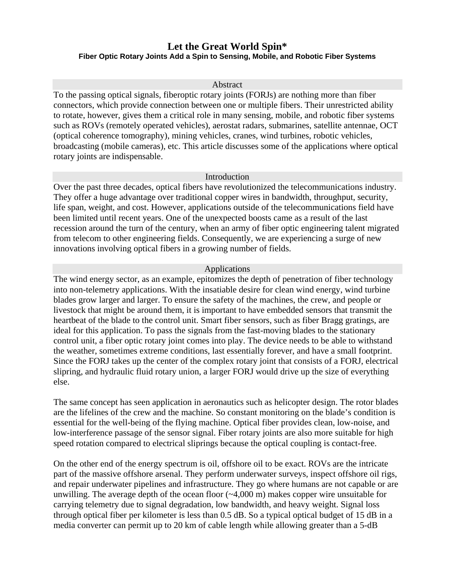# **Let the Great World Spin\* Fiber Optic Rotary Joints Add a Spin to Sensing, Mobile, and Robotic Fiber Systems**

#### Abstract

To the passing optical signals, fiberoptic rotary joints (FORJs) are nothing more than fiber connectors, which provide connection between one or multiple fibers. Their unrestricted ability to rotate, however, gives them a critical role in many sensing, mobile, and robotic fiber systems such as ROVs (remotely operated vehicles), aerostat radars, submarines, satellite antennae, OCT (optical coherence tomography), mining vehicles, cranes, wind turbines, robotic vehicles, broadcasting (mobile cameras), etc. This article discusses some of the applications where optical rotary joints are indispensable.

### Introduction

Over the past three decades, optical fibers have revolutionized the telecommunications industry. They offer a huge advantage over traditional copper wires in bandwidth, throughput, security, life span, weight, and cost. However, applications outside of the telecommunications field have been limited until recent years. One of the unexpected boosts came as a result of the last recession around the turn of the century, when an army of fiber optic engineering talent migrated from telecom to other engineering fields. Consequently, we are experiencing a surge of new innovations involving optical fibers in a growing number of fields.

#### Applications

The wind energy sector, as an example, epitomizes the depth of penetration of fiber technology into non-telemetry applications. With the insatiable desire for clean wind energy, wind turbine blades grow larger and larger. To ensure the safety of the machines, the crew, and people or livestock that might be around them, it is important to have embedded sensors that transmit the heartbeat of the blade to the control unit. Smart fiber sensors, such as fiber Bragg gratings, are ideal for this application. To pass the signals from the fast-moving blades to the stationary control unit, a fiber optic rotary joint comes into play. The device needs to be able to withstand the weather, sometimes extreme conditions, last essentially forever, and have a small footprint. Since the FORJ takes up the center of the complex rotary joint that consists of a FORJ, electrical slipring, and hydraulic fluid rotary union, a larger FORJ would drive up the size of everything else.

The same concept has seen application in aeronautics such as helicopter design. The rotor blades are the lifelines of the crew and the machine. So constant monitoring on the blade's condition is essential for the well-being of the flying machine. Optical fiber provides clean, low-noise, and low-interference passage of the sensor signal. Fiber rotary joints are also more suitable for high speed rotation compared to electrical sliprings because the optical coupling is contact-free.

On the other end of the energy spectrum is oil, offshore oil to be exact. ROVs are the intricate part of the massive offshore arsenal. They perform underwater surveys, inspect offshore oil rigs, and repair underwater pipelines and infrastructure. They go where humans are not capable or are unwilling. The average depth of the ocean floor (~4,000 m) makes copper wire unsuitable for carrying telemetry due to signal degradation, low bandwidth, and heavy weight. Signal loss through optical fiber per kilometer is less than 0.5 dB. So a typical optical budget of 15 dB in a media converter can permit up to 20 km of cable length while allowing greater than a 5-dB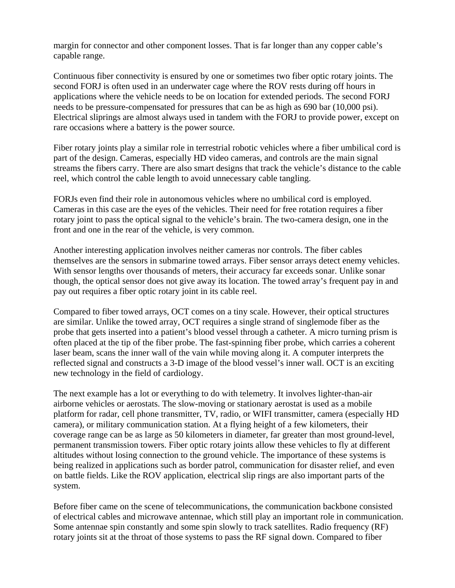margin for connector and other component losses. That is far longer than any copper cable's capable range.

Continuous fiber connectivity is ensured by one or sometimes two fiber optic rotary joints. The second FORJ is often used in an underwater cage where the ROV rests during off hours in applications where the vehicle needs to be on location for extended periods. The second FORJ needs to be pressure-compensated for pressures that can be as high as 690 bar (10,000 psi). Electrical sliprings are almost always used in tandem with the FORJ to provide power, except on rare occasions where a battery is the power source.

Fiber rotary joints play a similar role in terrestrial robotic vehicles where a fiber umbilical cord is part of the design. Cameras, especially HD video cameras, and controls are the main signal streams the fibers carry. There are also smart designs that track the vehicle's distance to the cable reel, which control the cable length to avoid unnecessary cable tangling.

FORJs even find their role in autonomous vehicles where no umbilical cord is employed. Cameras in this case are the eyes of the vehicles. Their need for free rotation requires a fiber rotary joint to pass the optical signal to the vehicle's brain. The two-camera design, one in the front and one in the rear of the vehicle, is very common.

Another interesting application involves neither cameras nor controls. The fiber cables themselves are the sensors in submarine towed arrays. Fiber sensor arrays detect enemy vehicles. With sensor lengths over thousands of meters, their accuracy far exceeds sonar. Unlike sonar though, the optical sensor does not give away its location. The towed array's frequent pay in and pay out requires a fiber optic rotary joint in its cable reel.

Compared to fiber towed arrays, OCT comes on a tiny scale. However, their optical structures are similar. Unlike the towed array, OCT requires a single strand of singlemode fiber as the probe that gets inserted into a patient's blood vessel through a catheter. A micro turning prism is often placed at the tip of the fiber probe. The fast-spinning fiber probe, which carries a coherent laser beam, scans the inner wall of the vain while moving along it. A computer interprets the reflected signal and constructs a 3-D image of the blood vessel's inner wall. OCT is an exciting new technology in the field of cardiology.

The next example has a lot or everything to do with telemetry. It involves lighter-than-air airborne vehicles or aerostats. The slow-moving or stationary aerostat is used as a mobile platform for radar, cell phone transmitter, TV, radio, or WIFI transmitter, camera (especially HD camera), or military communication station. At a flying height of a few kilometers, their coverage range can be as large as 50 kilometers in diameter, far greater than most ground-level, permanent transmission towers. Fiber optic rotary joints allow these vehicles to fly at different altitudes without losing connection to the ground vehicle. The importance of these systems is being realized in applications such as border patrol, communication for disaster relief, and even on battle fields. Like the ROV application, electrical slip rings are also important parts of the system.

Before fiber came on the scene of telecommunications, the communication backbone consisted of electrical cables and microwave antennae, which still play an important role in communication. Some antennae spin constantly and some spin slowly to track satellites. Radio frequency (RF) rotary joints sit at the throat of those systems to pass the RF signal down. Compared to fiber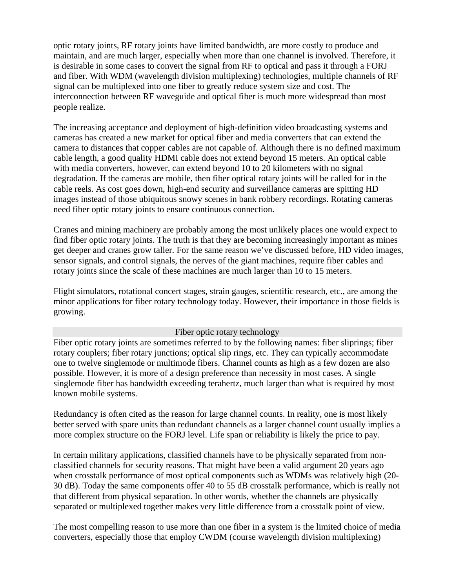optic rotary joints, RF rotary joints have limited bandwidth, are more costly to produce and maintain, and are much larger, especially when more than one channel is involved. Therefore, it is desirable in some cases to convert the signal from RF to optical and pass it through a FORJ and fiber. With WDM (wavelength division multiplexing) technologies, multiple channels of RF signal can be multiplexed into one fiber to greatly reduce system size and cost. The interconnection between RF waveguide and optical fiber is much more widespread than most people realize.

The increasing acceptance and deployment of high-definition video broadcasting systems and cameras has created a new market for optical fiber and media converters that can extend the camera to distances that copper cables are not capable of. Although there is no defined maximum cable length, a good quality HDMI cable does not extend beyond 15 meters. An optical cable with media converters, however, can extend beyond 10 to 20 kilometers with no signal degradation. If the cameras are mobile, then fiber optical rotary joints will be called for in the cable reels. As cost goes down, high-end security and surveillance cameras are spitting HD images instead of those ubiquitous snowy scenes in bank robbery recordings. Rotating cameras need fiber optic rotary joints to ensure continuous connection.

Cranes and mining machinery are probably among the most unlikely places one would expect to find fiber optic rotary joints. The truth is that they are becoming increasingly important as mines get deeper and cranes grow taller. For the same reason we've discussed before, HD video images, sensor signals, and control signals, the nerves of the giant machines, require fiber cables and rotary joints since the scale of these machines are much larger than 10 to 15 meters.

Flight simulators, rotational concert stages, strain gauges, scientific research, etc., are among the minor applications for fiber rotary technology today. However, their importance in those fields is growing.

## Fiber optic rotary technology

Fiber optic rotary joints are sometimes referred to by the following names: fiber sliprings; fiber rotary couplers; fiber rotary junctions; optical slip rings, etc. They can typically accommodate one to twelve singlemode or multimode fibers. Channel counts as high as a few dozen are also possible. However, it is more of a design preference than necessity in most cases. A single singlemode fiber has bandwidth exceeding terahertz, much larger than what is required by most known mobile systems.

Redundancy is often cited as the reason for large channel counts. In reality, one is most likely better served with spare units than redundant channels as a larger channel count usually implies a more complex structure on the FORJ level. Life span or reliability is likely the price to pay.

In certain military applications, classified channels have to be physically separated from nonclassified channels for security reasons. That might have been a valid argument 20 years ago when crosstalk performance of most optical components such as WDMs was relatively high (20- 30 dB). Today the same components offer 40 to 55 dB crosstalk performance, which is really not that different from physical separation. In other words, whether the channels are physically separated or multiplexed together makes very little difference from a crosstalk point of view.

The most compelling reason to use more than one fiber in a system is the limited choice of media converters, especially those that employ CWDM (course wavelength division multiplexing)